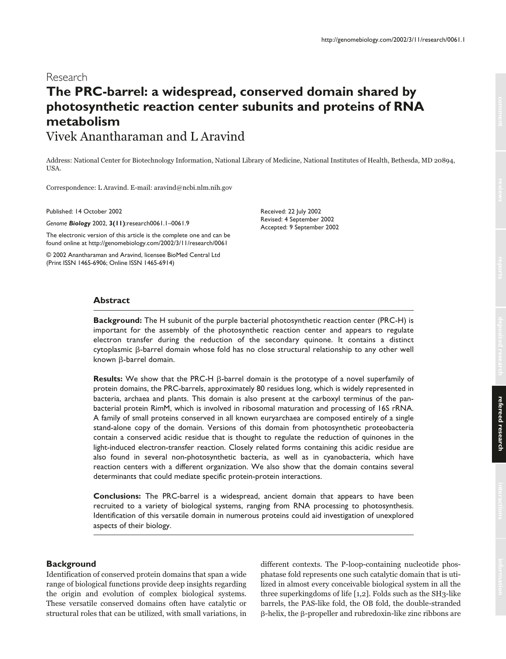# Research **The PRC-barrel: a widespread, conserved domain shared by photosynthetic reaction center subunits and proteins of RNA metabolism** Vivek Anantharaman and L Aravind

Address: National Center for Biotechnology Information, National Library of Medicine, National Institutes of Health, Bethesda, MD 20894, USA.

Correspondence: L Aravind. E-mail: aravind@ncbi.nlm.nih.gov

Published: 14 October 2002

*Genome Biology* 2002, **3(11)**:research0061.1–0061.9

The electronic version of this article is the complete one and can be found online at http://genomebiology.com/2002/3/11/research/0061

© 2002 Anantharaman and Aravind, licensee BioMed Central Ltd (Print ISSN 1465-6906; Online ISSN 1465-6914)

Received: 22 July 2002 Revised: 4 September 2002 Accepted: 9 September 2002

### **Abstract**

**Background:** The H subunit of the purple bacterial photosynthetic reaction center (PRC-H) is important for the assembly of the photosynthetic reaction center and appears to regulate electron transfer during the reduction of the secondary quinone. It contains a distinct  $c$ ytoplasmic  $\beta$ -barrel domain whose fold has no close structural relationship to any other well known  $\beta$ -barrel domain.

**Results:** We show that the PRC-H  $\beta$ -barrel domain is the prototype of a novel superfamily of protein domains, the PRC-barrels, approximately 80 residues long, which is widely represented in bacteria, archaea and plants. This domain is also present at the carboxyl terminus of the panbacterial protein RimM, which is involved in ribosomal maturation and processing of 16S rRNA. A family of small proteins conserved in all known euryarchaea are composed entirely of a single stand-alone copy of the domain. Versions of this domain from photosynthetic proteobacteria contain a conserved acidic residue that is thought to regulate the reduction of quinones in the light-induced electron-transfer reaction. Closely related forms containing this acidic residue are also found in several non-photosynthetic bacteria, as well as in cyanobacteria, which have reaction centers with a different organization. We also show that the domain contains several determinants that could mediate specific protein-protein interactions.

**Conclusions:** The PRC-barrel is a widespread, ancient domain that appears to have been recruited to a variety of biological systems, ranging from RNA processing to photosynthesis. Identification of this versatile domain in numerous proteins could aid investigation of unexplored aspects of their biology.

### **Background**

Identification of conserved protein domains that span a wide range of biological functions provide deep insights regarding the origin and evolution of complex biological systems. These versatile conserved domains often have catalytic or structural roles that can be utilized, with small variations, in different contexts. The P-loop-containing nucleotide phosphatase fold represents one such catalytic domain that is utilized in almost every conceivable biological system in all the three superkingdoms of life [1,2]. Folds such as the SH3-like barrels, the PAS-like fold, the OB fold, the double-stranded  $\beta$ -helix, the  $\beta$ -propeller and rubredoxin-like zinc ribbons are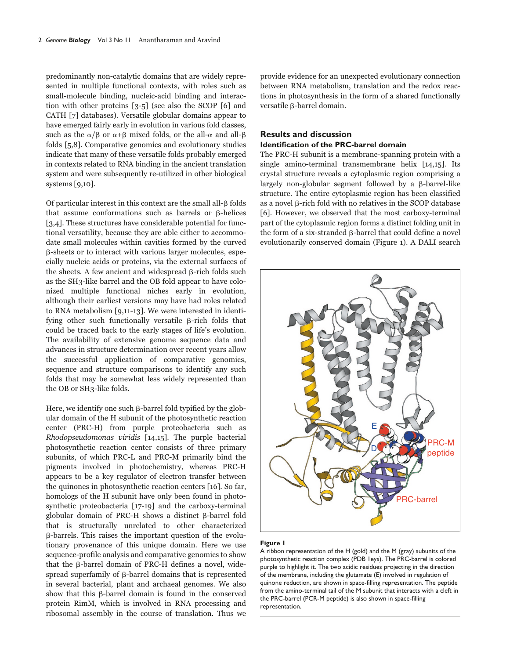predominantly non-catalytic domains that are widely represented in multiple functional contexts, with roles such as small-molecule binding, nucleic-acid binding and interaction with other proteins [3-5] (see also the SCOP [6] and CATH [7] databases). Versatile globular domains appear to have emerged fairly early in evolution in various fold classes, such as the  $\alpha/\beta$  or  $\alpha+\beta$  mixed folds, or the all- $\alpha$  and all- $\beta$ folds [5,8]. Comparative genomics and evolutionary studies indicate that many of these versatile folds probably emerged in contexts related to RNA binding in the ancient translation system and were subsequently re-utilized in other biological systems [9,10].

Of particular interest in this context are the small all- $\beta$  folds that assume conformations such as barrels or  $\beta$ -helices [3,4]. These structures have considerable potential for functional versatility, because they are able either to accommodate small molecules within cavities formed by the curved -sheets or to interact with various larger molecules, especially nucleic acids or proteins, via the external surfaces of the sheets. A few ancient and widespread  $\beta$ -rich folds such as the SH3-like barrel and the OB fold appear to have colonized multiple functional niches early in evolution, although their earliest versions may have had roles related to RNA metabolism [9,11-13]. We were interested in identifying other such functionally versatile  $\beta$ -rich folds that could be traced back to the early stages of life's evolution. The availability of extensive genome sequence data and advances in structure determination over recent years allow the successful application of comparative genomics, sequence and structure comparisons to identify any such folds that may be somewhat less widely represented than the OB or SH3-like folds.

Here, we identify one such  $\beta$ -barrel fold typified by the globular domain of the H subunit of the photosynthetic reaction center (PRC-H) from purple proteobacteria such as Rhodopseudomonas viridis [14,15]. The purple bacterial photosynthetic reaction center consists of three primary subunits, of which PRC-L and PRC-M primarily bind the pigments involved in photochemistry, whereas PRC-H appears to be a key regulator of electron transfer between the quinones in photosynthetic reaction centers [16]. So far, homologs of the H subunit have only been found in photosynthetic proteobacteria [17-19] and the carboxy-terminal globular domain of PRC-H shows a distinct  $\beta$ -barrel fold that is structurally unrelated to other characterized -barrels. This raises the important question of the evolutionary provenance of this unique domain. Here we use sequence-profile analysis and comparative genomics to show that the  $\beta$ -barrel domain of PRC-H defines a novel, widespread superfamily of  $\beta$ -barrel domains that is represented in several bacterial, plant and archaeal genomes. We also show that this  $\beta$ -barrel domain is found in the conserved protein RimM, which is involved in RNA processing and ribosomal assembly in the course of translation. Thus we

provide evidence for an unexpected evolutionary connection between RNA metabolism, translation and the redox reactions in photosynthesis in the form of a shared functionally versatile  $\beta$ -barrel domain.

### **Results and discussion Identification of the PRC-barrel domain**

The PRC-H subunit is a membrane-spanning protein with a single amino-terminal transmembrane helix [14,15]. Its crystal structure reveals a cytoplasmic region comprising a largely non-globular segment followed by a  $\beta$ -barrel-like structure. The entire cytoplasmic region has been classified as a novel  $\beta$ -rich fold with no relatives in the SCOP database [6]. However, we observed that the most carboxy-terminal part of the cytoplasmic region forms a distinct folding unit in the form of a six-stranded  $\beta$ -barrel that could define a novel evolutionarily conserved domain (Figure 1). A DALI search



#### **Figure 1**

A ribbon representation of the H (gold) and the M (gray) subunits of the photosynthetic reaction complex (PDB 1eys). The PRC-barrel is colored purple to highlight it. The two acidic residues projecting in the direction of the membrane, including the glutamate (E) involved in regulation of quinone reduction, are shown in space-filling representation. The peptide from the amino-terminal tail of the M subunit that interacts with a cleft in the PRC-barrel (PCR-M peptide) is also shown in space-filling representation.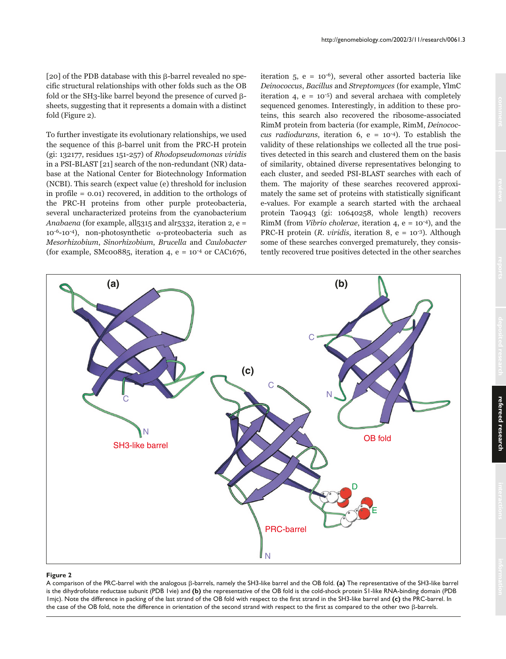[20] of the PDB database with this  $\beta$ -barrel revealed no specific structural relationships with other folds such as the OB fold or the SH3-like barrel beyond the presence of curved  $\beta$ sheets, suggesting that it represents a domain with a distinct fold (Figure 2).

To further investigate its evolutionary relationships, we used the sequence of this  $\beta$ -barrel unit from the PRC-H protein (gi: 132177, residues 151-257) of Rhodopseudomonas viridis in a PSI-BLAST [21] search of the non-redundant (NR) database at the National Center for Biotechnology Information (NCBI). This search (expect value (e) threshold for inclusion in profile = 0.01) recovered, in addition to the orthologs of the PRC-H proteins from other purple proteobacteria, several uncharacterized proteins from the cyanobacterium Anabaena (for example, all $5315$  and alr $5332$ , iteration 2, e =  $10^{-6}$ -10<sup>-4</sup>), non-photosynthetic  $\alpha$ -proteobacteria such as Mesorhizobium, Sinorhizobium, Brucella and Caulobacter (for example, SMc $00885$ , iteration 4, e =  $10^{-4}$  or CAC1676, iteration  $5$ ,  $e = 10^{-6}$ ), several other assorted bacteria like Deinococcus, Bacillus and Streptomyces (for example, YlmC iteration 4,  $e = 10^{-5}$  and several archaea with completely sequenced genomes. Interestingly, in addition to these proteins, this search also recovered the ribosome-associated RimM protein from bacteria (for example, RimM, Deinococcus radiodurans, iteration 6,  $e = 10^{-4}$ ). To establish the validity of these relationships we collected all the true positives detected in this search and clustered them on the basis of similarity, obtained diverse representatives belonging to each cluster, and seeded PSI-BLAST searches with each of them. The majority of these searches recovered approximately the same set of proteins with statistically significant e-values. For example a search started with the archaeal protein Ta0943 (gi: 10640258, whole length) recovers RimM (from *Vibrio cholerae*, iteration 4,  $e = 10^{-4}$ ), and the PRC-H protein (*R. viridis*, iteration 8,  $e = 10^{-3}$ ). Although some of these searches converged prematurely, they consistently recovered true positives detected in the other searches



#### **Figure 2**

A comparison of the PRC-barrel with the analogous  $\beta$ -barrels, namely the SH3-like barrel and the OB fold. (a) The representative of the SH3-like barrel is the dihydrofolate reductase subunit (PDB 1vie) and **(b)** the representative of the OB fold is the cold-shock protein S1-like RNA-binding domain (PDB 1mjc). Note the difference in packing of the last strand of the OB fold with respect to the first strand in the SH3-like barrel and **(c)** the PRC-barrel. In the case of the OB fold, note the difference in orientation of the second strand with respect to the first as compared to the other two  $\beta$ -barrels.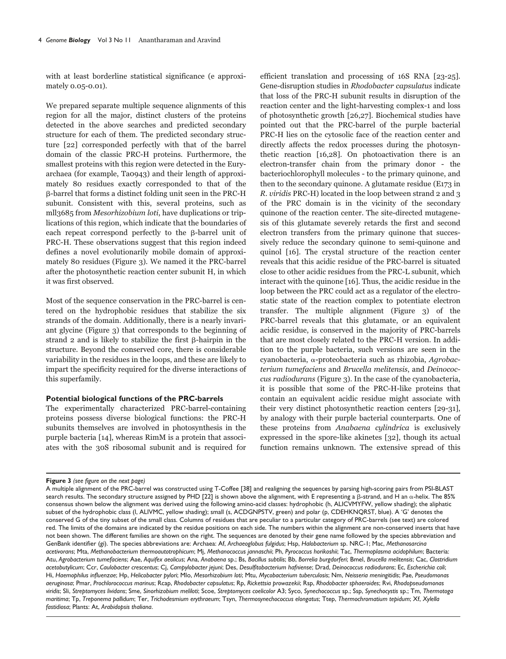with at least borderline statistical significance (e approximately 0.05-0.01).

We prepared separate multiple sequence alignments of this region for all the major, distinct clusters of the proteins detected in the above searches and predicted secondary structure for each of them. The predicted secondary structure [22] corresponded perfectly with that of the barrel domain of the classic PRC-H proteins. Furthermore, the smallest proteins with this region were detected in the Euryarchaea (for example, Ta0943) and their length of approximately 80 residues exactly corresponded to that of the -barrel that forms a distinct folding unit seen in the PRC-H subunit. Consistent with this, several proteins, such as mll3685 from Mesorhizobium loti, have duplications or triplications of this region, which indicate that the boundaries of each repeat correspond perfectly to the  $\beta$ -barrel unit of PRC-H. These observations suggest that this region indeed defines a novel evolutionarily mobile domain of approximately 80 residues (Figure 3). We named it the PRC-barrel after the photosynthetic reaction center subunit H, in which it was first observed.

Most of the sequence conservation in the PRC-barrel is centered on the hydrophobic residues that stabilize the six strands of the domain. Additionally, there is a nearly invariant glycine (Figure 3) that corresponds to the beginning of strand 2 and is likely to stabilize the first  $\beta$ -hairpin in the structure. Beyond the conserved core, there is considerable variability in the residues in the loops, and these are likely to impart the specificity required for the diverse interactions of this superfamily.

### **Potential biological functions of the PRC-barrels**

The experimentally characterized PRC-barrel-containing proteins possess diverse biological functions: the PRC-H subunits themselves are involved in photosynthesis in the purple bacteria [14], whereas RimM is a protein that associates with the 30S ribosomal subunit and is required for

efficient translation and processing of 16S RNA [23-25]. Gene-disruption studies in Rhodobacter capsulatus indicate that loss of the PRC-H subunit results in disruption of the reaction center and the light-harvesting complex-1 and loss of photosynthetic growth [26,27]. Biochemical studies have pointed out that the PRC-barrel of the purple bacterial PRC-H lies on the cytosolic face of the reaction center and directly affects the redox processes during the photosynthetic reaction [16,28]. On photoactivation there is an electron-transfer chain from the primary donor - the bacteriochlorophyll molecules - to the primary quinone, and then to the secondary quinone. A glutamate residue (E173 in R. viridis PRC-H) located in the loop between strand 2 and 3 of the PRC domain is in the vicinity of the secondary quinone of the reaction center. The site-directed mutagenesis of this glutamate severely retards the first and second electron transfers from the primary quinone that successively reduce the secondary quinone to semi-quinone and quinol [16]. The crystal structure of the reaction center reveals that this acidic residue of the PRC-barrel is situated close to other acidic residues from the PRC-L subunit, which interact with the quinone [16]. Thus, the acidic residue in the loop between the PRC could act as a regulator of the electrostatic state of the reaction complex to potentiate electron transfer. The multiple alignment (Figure 3) of the PRC-barrel reveals that this glutamate, or an equivalent acidic residue, is conserved in the majority of PRC-barrels that are most closely related to the PRC-H version. In addition to the purple bacteria, such versions are seen in the cyanobacteria, α-proteobacteria such as rhizobia, Agrobacterium tumefaciens and Brucella melitensis, and Deinococcus radiodurans (Figure 3). In the case of the cyanobacteria, it is possible that some of the PRC-H-like proteins that contain an equivalent acidic residue might associate with their very distinct photosynthetic reaction centers [29-31], by analogy with their purple bacterial counterparts. One of these proteins from Anabaena cylindrica is exclusively expressed in the spore-like akinetes [32], though its actual function remains unknown. The extensive spread of this

**Figure 3** *(see figure on the next page)*

A multiple alignment of the PRC-barrel was constructed using T-Coffee [38] and realigning the sequences by parsing high-scoring pairs from PSI-BLAST search results. The secondary structure assigned by PHD [22] is shown above the alignment, with E representing a ß-strand, and H an  $\alpha$ -helix. The 85% consensus shown below the alignment was derived using the following amino-acid classes: hydrophobic (h, ALICVMYFW, yellow shading); the aliphatic subset of the hydrophobic class (l, ALIVMC, yellow shading); small (s, ACDGNPSTV, green) and polar (p, CDEHKNQRST, blue). A 'G' denotes the conserved G of the tiny subset of the small class. Columns of residues that are peculiar to a particular category of PRC-barrels (see text) are colored red. The limits of the domains are indicated by the residue positions on each side. The numbers within the alignment are non-conserved inserts that have not been shown. The different families are shown on the right. The sequences are denoted by their gene name followed by the species abbreviation and GenBank identifier (gi). The species abbreviations are: Archaea: Af, *Archaeoglobus fulgidus*; Hsp, *Halobacterium* sp. NRC-1; Mac, *Methanosarcina acetivorans*; Mta, *Methanobacterium thermoautotrophicum*; Mj, *Methanococcus jannaschii*; Ph, *Pyrococcus horikoshii*; Tac, *Thermoplasma acidophilum*; Bacteria: Atu, *Agrobacterium tumefaciens*; Aae, *Aquifex aeolicus*; Ana, *Anabaena* sp.; Bs, *Bacillus subtilis*; Bb, *Borrelia burgdorferi*; Bmel, *Brucella melitensis*; Cac, *Clostridium acetobutylicum*; Ccr, *Caulobacter crescentus*; Cj, *Campylobacter jejuni*; Des, *Desulfitobacterium hafniense*; Drad, *Deinococcus radiodurans*; Ec, *Escherichia coli*; Hi, *Haemophilus influenzae*; Hp, *Helicobacter pylori*; Mlo, *Mesorhizobium loti*; Mtu, *Mycobacterium tuberculosis*; Nm, *Neisseria meningitidis*; Pae, *Pseudomonas aeruginosa*; Pmar, *Prochlorococcus marinus*; Rcap, *Rhodobacter capsulatus*; Rp, *Rickettsia prowazekii*; Rsp, *Rhodobacter sphaeroides*; Rvi, *Rhodopseudomonas viridis*; Sli, *Streptomyces lividans*; Sme, *Sinorhizobium meliloti*; Scoe, *Streptomyces coelicolor* A3; Syco, *Synechococcus* sp.; Ssp, *Synechocystis* sp.; Tm, *Thermotoga maritima*; Tp, *Treponema pallidum*; Ter, *Trichodesmium erythraeum*; Tsyn, *Thermosynechococcus elongatus*; Ttep, *Thermochromatium tepidum*; Xf, *Xylella fastidiosa*; Plants: At, *Arabidopsis thaliana*.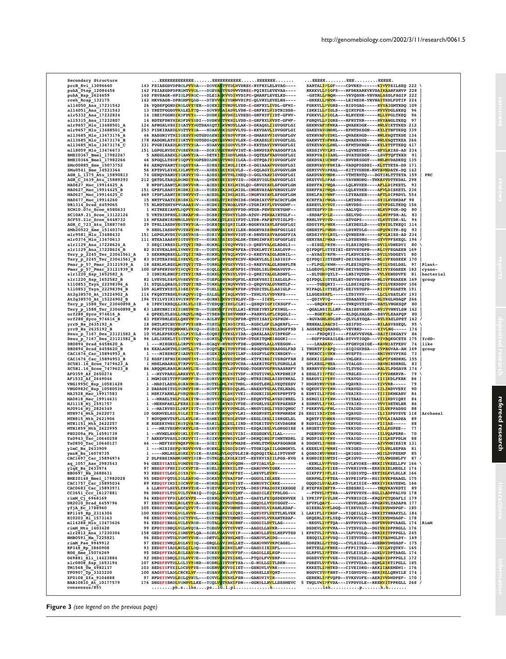Secondary Structure ...EEEEEEEEEEEEE.......EEEEEEEEEEE......EEEEEEE....... ...EEEEE........EEE.........EEEEE. prcH\_Rvi\_13096660 143 FSIAEGDVDPRGLPVVAA---DGVEAGTVTDLWVDRSE-HYFRYLELSVAG---- SARTALIPLGF----CDVKKD------KIVVTSILSEQ 222 \ puhA\_Ttep\_12084456 142 FSIAEGDPDPRGMTVVGL---DGEVAGTVSDVWVDRSE-PQIRYLEVEVAA---- NKKKVLLPIGFS---RFDKKARKVKVDAIKAAHFANVP 228 | puhA\_Rsp\_2624659 140 FHVSAGK-NPIGLPVRGC---DLEIAGKVVDIWVDIPE-QMARFLEVELKD---- -GSTRLLPMQM----VKVQSNR-VHVNALSSDLFAGIP 222 | rceh\_Rcap\_132175 142 MKVSAGR-DPRGMPVQAG---DTEVVGKIVDMWVDIPE-QLVRYLEVELNS---- -GKKKLLPMTM----LKIWSDR-VRVNAITSDLFDTIP 224 | all4050\_Ana\_17231542 26 YQDSFQGNDIKGLGVYTER--SDEKIGTVNDVLVDD-E-GHFRYLIVDL-GFWI- FGKKVLLPVGRS---RIDYGAG-----RVYAIGMTRDQ 109 | all4051\_Ana\_17231543 13 YRETFGGDDVKALELYTQ---SGVRVGAIADVLVDN-E-GRFRYLVIDTHIDDS- ISKKILLPIGLS---QINYPER-----RVYVDGLSKEQ 96 | alr5332\_Ana\_17232824 14 INEIFGGNDIKDFDVYA----DNDKIGNVDNILVDEDD-GHFRYFIIDT-GFWV- FGKKVLLPIGLA---RLNYENK-----RLLVPGLTKEQ 96 | all5315\_Ana\_17232807 14 RDTEFDNYNIKDFDVYSDI--DNDKVGTVKHILVDD-S-GRFRYLVVDT-GFWF- FGRQVLLPIGRS---RFNYTNR-----RVYANGLTKEQ 97 | mlr9657\_Mlo\_13488501\_A 124 APNGSLVSKIIGATVYNGTDANAQTIGKVNDVLLAK-D-GKAQSLIIGVGGFLGI GEKNVAFDFNKA---QWAEKDGK----RWLVIKTTKED 212 | mlr9657\_Mlo\_13488501\_B 253 PIDKIRAEDLVGTTVYGA---NDAKVGKIGDVVLTG-D-KKVDAVLIDVGGFLGI GAKEVAVGMDNL---KFMTDKSGN---KYLYTNFTKEQ 339 | mll3685\_Mlo\_13473176\_A 46 RAEGNIVTNIIGESVYNGTGDDAENIGKVSDVVFDK-D-GMAKSVVIGVGGFLGV GTKNVAFDYDKL---QWAEKNGD----RWLVAQTTKDE 134 | mll3685\_Mlo\_13473176\_B 178 RADGNLATNIIGKTVYNGTGDDAQNIGSVNDIVLSK-E-GKAESLVIGVGGFLGL GAKNVTYDFNKA---QWAEKNGD----RWLVAQTTKEA 266 | mll3685\_Mlo\_13473176\_C 331 PVGEIKASDLKGTTVYGA---NDAKVGEIGDVVLTP-D-KKTDAVIVNVGGFLGI GTKEVAVGLDNL---KFMTDKNGK---KYLYTTFTKEQ 417 | mll8059\_Mlo\_13476673 151 LGPGLRVDEIVGSEVRSS---DDKIVGEVRNVVIGT-K-DRWDYAVVASGGFFIA GKDSIVVPLRY----LQVNEERT----SFYLRISS-AD 234 | BMEI0367\_Bmel\_17982267 5 ANEGLSAEKLIGAMVYDA---DETKIGTIGDVLMSA-D-GQTEAFVADVGGFLGI NSKPVAISIANL---DVATGKDGK---LSVFTQFTKKD 91 | BMEI0366\_Bmel\_17982266 46 SPGQLLTSDFIGQPVYNGPSDDADNIGTVNDIILGA-D-GTPQAIVIGVGGFLGV GEKDVAIGCNHF---SWVDKSGGT---RWLMVDADKEQ 135 | SMc00885\_Sme\_15073752 84 AENQVSANTYIGQSVYNA---SDESIGEINDLIIEK-E-GGIAAAVVGVGGFLGI GEKNVAVPFDKIA--VADQPDSDDI--KLTTTETA-DS 171 | SMa0541\_Sme\_14523364 56\_KPTDVLSYN<mark>L</mark>INLNVTNT---ANES<mark>IGEIKDL</mark>VLS--E-GQLAGY<mark>I</mark>LSVGGVLGM GERYVVVSPKAL---KITYVENDK-KWT<mark>AVM</mark>DATK-DQ\_142 |<br>AGR L\_1375 Atu 15890813 74\_GENQVSANDYIGKS<mark>VY</mark>TG---ADES<mark>IGNVTNL</mark>IMEQ-D-GGLVAAVIGVG AGR C 3639 Attu 15889293 312 20 ATTUTASO DEMOTIVA----QUENTEEINIDLO-GRUGYALGYGGTLGI DISTRIPHOS-----LOUENVEL----AFLADIPREIL 33<br>
MAO627 Mac\_19914425 A 3 NDPLESANTIKUDRUVNR----AGEDICRIEEINIDLO-GRUGYALGYGGTLGI SDKFFAIPHOA-----L Tery\_p\_2245\_Ter\_23041561\_A 3 SEKNRQRSE<mark>L</mark>LGTQ<mark>II</mark>TRD--KGKRL<mark>GVVSQL</mark>WDV-D-KREVVA<mark>I</mark>GLRDNIL-- --AVAG<mark>I</mark>PKFM----FLKDVCEIG---DVILVDDEEVI 80 |<br>Tery p\_2245 Ter\_23041561\_B 83 DIDTEAYSG<mark>L</mark>INSE<mark>VL</mark>TE---NGDFLGRVRDFKCDV-RDGKVLSL<mark>I</mark> Pmar\_p\_57\_Pmar\_23121939\_A 18 SERLWLRSELMGTQVITTD--TGRRLGVVGEVVVDI-D-RREVVALGLRDNPLTR --FLPGLPKWM----PLESIKQVG---DVILVDSLDSL 97 |Plant-PMARPARPLANG HARPARA PRAFILIS<br>100 GFSPERYGKVINCQVITE---SGQLLG<br>3 IDNIRLRNEFINTEVITRS--SGKKLG<br>82 LUEVDLYSP<mark>L</mark>VNSEVVTE---TGEPLG slr1220\_Ssp\_1652582\_A 3 IDNIRLRNEFINTEVITRS--SGKKLGVVKEVLVDV-D-QREIVALGLRDNFL-- --SLTGMPQYLY---LNSIVQTGD---VVLVENDDVFE 81 |bacterial slr1220\_Ssp\_1652582\_B 82 LVEVDLYSPLVNSEVVTE---TGEPLGRVRDFQFDL-ATGKVSSIIIASLGLP-- QIPDQLISTYELSI-DEVVSSGPN---RLIVFEGAEER 169 |group tll0853\_Tsyn\_22298396\_A 31 STQLLQRADLIGTQVITRD--TGRKLGVINQVWVDT-D-QRQVVALGVRNTLF-- ----TGEQRYI----LLDSIRQIG---DVILVEHDDDV 106 | tll0853\_Tsyn\_22298396\_B 109 ALNTYNYSTLIDSEIVTE---TGELLGKVRGFKFDP-DTGDITDLILASIGLP-- WIPAQLISTYELPI-EEIVSTGPD---RIIVFEGAETR 191 | At2g38570\_At\_15224902\_A 114 FKQSTTRSNLVAKQVVSIQ--SALSLGFISQLWVDT--TSWLVLVVDVKPS---- LLSGESERFL-----LTDIVRV-----LLCLVSATLKV 193 | At2g38570\_At\_15224902\_B 196 TYILVYIKISVGYRVVTP---GGRNIGKVSTYRLDV-ED---IIEVL--------- --QDIVVVQ------EDAASRKQ----RLTKGLWDAQF 266 | Tery\_p\_1588\_Ter\_23040898\_A 4 IPEVIKHSQLLKRLVLDIE--TVEDQGCIEELCLNI--QSHQVIGFICKSGFF-- ---GRQKKYF-----TWKQVETIGV--DATLVNGKSQP 80 | Tery\_p\_1588\_Ter\_23040898\_B 83 LENYNNIIHIIGNEVWTD---TGEKVGFIVEYLLNI-KTGEIVNYLFKYNGL--- -QGALNSIYLLNP--EAISSVGNK---RVIVVNNYLDN 162 | orf288\_Syco\_974616\_A 4 QPEELTLSDLLNRQVLDRQ--TTDEHGRIDRVWMHP--PAHRVLGFLCKQGLI-- ---RGEFSAF-----RLDQLHALGD--DSVVLEAAPQP 80 | orf288\_Syco\_974616\_B 83 PEKVDRLESLLQHEVWTD---AGLHVGKIVDCRFDR-QTGYISAYLVSPHGW--- -RGVAGMLWDLDP--QLVLSYGQA---RVLVAELDPET 162 / yrrD\_Bs\_2635192\_A 18 DHTLRTCHEVEGFPVYSER--TSSYLGTISDICFSL--KGDCLGFILAQKRFL--- HHHHALLRACDI---SSIFDD------RILASVSSEQL 95 \ yrrD\_Bs\_2635192\_B 99 PKSCFTYEQMKMKLVKSQ---EGDILGMLEDVYFCL--DRGIIVAYELSDGFFSD 1 AGSKRQIQRADSL--VEVRKD------EIVLNG----- 174 | Desu\_p\_7167\_Des\_23121582\_A 10 VLRLKPSKEFLSLPIVSLS--EGQHIGYVKSLVIDA--QAKALAALVIDPKGF-- ----FRDQRII----PYAKVVSVGA--DAITIDKGAYV 86 | Desu\_p\_7167\_Des\_23121582\_B 96 LSLIKEKLTIIGTRVITQ---SGKTLGVVEEYYVDP-DTGKITQMEISGGKI--- --EGFFSGKAILEA-DYVVTIGQD---VIVAQKGCETS 175 |YrdD-DR0894\_Drad\_6458620\_A 1 ---MIKGKELLGRPVVAVS--NGAQVDNVHDVVFDH--QGNRVLALLVEEGGW-- ---LRAAKAV-----PFGRVQSIGE--KAVMIATPEDV 74 |like DR0894\_Drad\_6458620\_B 84 KEALAGKTNLIGMTLLTT---DGQTLGKITDVYFDE--RSGQVEGYEASGGLFAD 1 TNGRTFIPAPQ----SIQIGKDSA---IVPAGVAA-AM 169 |group CAC1676\_Cac\_15894953\_A 1 ---MIRSREFIGADVYST---KGEKIGAVDDVILNF--SSGFVLGFKINKGKV-- FNKHCCISVKN----MVSFTS------KMIVNYVPYKG 73 | CAC1676\_Cac\_15894953\_B 72 KGSFIRFNSIKNMDVINY---DGTILGMVEEIMFDE--KTFKIKGIIVSRGFFAN 2 SGKKIILEGN-----YMLGKK------NLFCFSNDKNL 155 | SC5H1.16\_Scoe\_7479623\_A 1 MDELMAARSLTTRPVVTL---GGDAVAHVKDTVCDA--AAERITGFTLTGRGLLS GPLKEGLPWSA----VYALGH------DAVMIRDRRGL 83 | SC5H1.16\_Scoe\_7479623\_B 86 AHQQNLRARLRGARVLTE---AGTEIGTVLDVVVEGG-TGGRVVGFRVAASRRFV 5 HRRRVYVPRGR----TLTVSG------RALVLPDGAVR 174 / **AFO359 Af 2650274** 1 --MYVPARS<mark>L</mark>ARKSVVLT---DGTVV<mark>GTLYNIT</mark>VDF--KTGTIVNLLVKPENEIP 4 EEGLYITPFEC----VRSLKD------FIVVDRRRVR- 79 \<br>AFIS3<u>7 Af 2</u>649046 1 MGMIGEITTFGMRVFD--EGRYVGRVEDVILDQ--NTKSIRGLAISDYNKAL 3 HAKGVITPYRV----VK MTHI151 MH. 2621906<br>
MTHI151 MH. 2621905<br>
MTHI151 MH. 2622257 8 KGEEKYMSETAGYQVATN---NARITGELEELIIND--KTGKITINGVKOLENN 8 KGDYLLVPCK----VENVGE------VTLIAE----- 88<br>
MTHI1551 MH. 2622257 8 KGEEKYMSETAGYQVATN---NARITGELEELIIND BMEIO148\_Bmel\_17982028 95\_DEDEFFOTDLIGLEAVDG---DGKSYGVVSAIFDF---GGGDLIELSEK------ GKRPMLIPFTEA---AVPEIDFD--KGIIKVEPHAAGL\_175 |<br>CAC1757\_Cac\_15895034 89\_KEGOYFIKDIIGCNVFDE---NDKDLGEVYDVIST---KNNDVYCIRKE------ GOO THR (-5) 6968169<br>
PR2010 Drad 6459796 94 KNDEFFYFDLEGCEVF2----GOSENLOVYDLET---GASIDLLVVDYGGGT--- SFVPLQAPY------VKNIDIE----RASLEVTARIA 179 |<br>
PR2010 Drad 6459796 93 EEGDYYNKDLNGCQWYT----EGYDLGKVVDNHET---GASIDLLVVDYGGGT--- TP0907\_Tp\_3323220 100 SAGEFYLADLCRCELVF----EGSAVGVVLSVVEG---GGSSLLEVQRT------ HGGVCYVPFHRT---FIGDVDVG--RKKIELLQRWILE 174 | XF0108\_Xfa\_9104888 97 HPDEYYWVDLEGLQVHTL---EGVVLGSVSHLFSN---GANDVIVIH-------- GERERLIPFVQPD--YVKSVDFE--AERIVVDWDPEF- 170 | BAB10810\_At\_10177579 176 DEGEFYSRDLVGMRVLLKE--TGQLVGTVANIFDN---GGNDLLHVLLDSSMEVC 5 TNQLVWIPFVDA---IVPDVDLE--RKEMYITPPKGLL 268 / consensus/85% ........ph.s..lhs....ps..lG.l.pl.............h......... ......lsh...........p.......h.h.......

|                                                                                     | $\ldots$ EEEEE $\ldots \ldots \ldots$ EEE $\ldots \ldots \ldots$ EEEEE.                                                                                                                                                                         |          |                   |
|-------------------------------------------------------------------------------------|-------------------------------------------------------------------------------------------------------------------------------------------------------------------------------------------------------------------------------------------------|----------|-------------------|
|                                                                                     | SARTAL <mark>IPL</mark> GF----CDVKKD------K <mark>IVV</mark> TSILSEQ 222                                                                                                                                                                        |          |                   |
|                                                                                     | NKKKVL <mark>LPI</mark> GFS---RFDKKARKVKVDA <mark>I</mark> K <mark>A</mark> AHFANVP 228                                                                                                                                                         |          |                   |
|                                                                                     | -GSTRL <mark>LPM</mark> OM----VKVOSNR-VHVNA <mark>L</mark> SSDLFAGIP 222<br>-GKKKL <mark>L</mark> PMTM----LKIWSDR-VRVNA <mark>I</mark> TSDLFDTIP 224                                                                                            |          |                   |
|                                                                                     | FGKKVL <mark>L</mark> P <mark>V</mark> GRS---RIDYGAG-----R <mark>VYA</mark> IGMTRDQ 109                                                                                                                                                         |          |                   |
|                                                                                     | ISKKIL <mark>LPI</mark> GLS---QINYPER-----R <mark>V</mark> YVDGLSKEQ                                                                                                                                                                            | 96       |                   |
|                                                                                     | FGKKVL <mark>LPI</mark> GLA---RLNYENK-----R <mark>L</mark> L <mark>V</mark> PGLTKEQ                                                                                                                                                             | 96       |                   |
|                                                                                     | FGRQVL <mark>L</mark> P <mark>I</mark> GRS---RFNYTNR-----R <mark>V</mark> Y <mark>A</mark> NGLTKEQ<br><b>GEKNVA<mark>F</mark>DF</b> NKA---QWAEKDGK----R <mark>W</mark> LVIKTTKED 212                                                            | 97       |                   |
|                                                                                     | <b>GAKEVA<mark>V</mark>GMDNL---KFMTDKSGN---K<mark>Y</mark>LY</b> TNFTKEQ 339                                                                                                                                                                    |          |                   |
|                                                                                     | <b>GTKNVA<mark>F</mark>D<mark>Y</mark>DKL---QWAEKNGD----R<mark>W</mark>LVAQTTKDE 134</b>                                                                                                                                                        |          |                   |
|                                                                                     | GAKNVT <mark>YDF</mark> NKA---QWAEKNGD----R <mark>WLV</mark> AQTTKEA 266                                                                                                                                                                        |          |                   |
|                                                                                     | <b>GTKEVA<mark>V</mark>GL</b> DNL---KFMTDKNGK---K <mark>Y</mark> LYTTFTKEQ 417                                                                                                                                                                  |          |                   |
|                                                                                     | GKDSIV <mark>VPL</mark> RY----LQVNEERT----S <mark>F</mark> Y <mark>L</mark> RISS-AD 234                                                                                                                                                         |          |                   |
|                                                                                     | <b>NSKPVA<mark>I</mark>S<mark>I</mark>ANL---DVATGKDGK---LSV<mark>F</mark>TQFTKKD</b>                                                                                                                                                            | 91       |                   |
|                                                                                     | <b>GEKDVA<mark>I</mark>G<mark>C</mark>NHF---SWVDKSGGT---R<mark>W</mark>LMVDADKEQ 135</b><br><b>GEKNVA<mark>V</mark>P<mark>F</mark>DKIA--VADQPDSDDI--K<mark>L</mark>TTTETA-DS 171</b>                                                            |          |                   |
|                                                                                     | GERYVV <mark>V</mark> SPKAL---KITYVENDK-KWT <mark>A</mark> VMDATK-DQ 142                                                                                                                                                                        |          |                   |
|                                                                                     | <b>GAKDVA<mark>V</mark>PMDK----VTMTRNTQ---DGTIRLTTTETA 159</b>                                                                                                                                                                                  |          | PRC               |
|                                                                                     | DKSYVV <mark>L</mark> DPAS----VAVHNDNG--TWK <mark>A</mark> Y <mark>V</mark> DTTKDAL 298                                                                                                                                                         |          |                   |
|                                                                                     | SDKFFA <mark>IPW</mark> QA----LQLRVHEH----A <mark>F</mark> L <mark>L</mark> DIPKETL                                                                                                                                                             |          |                   |
|                                                                                     | SSKFFA <mark>IPW</mark> QA----LQLKVHEH----A <mark>F</mark> V <mark>L</mark> DISKETL 236                                                                                                                                                         |          |                   |
|                                                                                     | SDKLFA <mark>IPW</mark> NF----LTYR <del>AH</del> EH----A <mark>F</mark> T <mark>L</mark> DIPRDVL 554<br>KCKFFA <mark>IPW</mark> GA----LHTSRG------D <mark>Y</mark> I <mark>L</mark> KVDKDAF 98                                                  |          |                   |
|                                                                                     | SSKEVL <mark>V</mark> P <mark>V</mark> GY----GRVDDS------G <mark>V</mark> Y <mark>F</mark> DSLTKDQ 156                                                                                                                                          |          |                   |
|                                                                                     | GSTESF <mark>VPI</mark> R-----AALVQD------H <mark>LEV</mark> PYGK-DQ                                                                                                                                                                            |          |                   |
|                                                                                     | -SRDAF <mark>V</mark> P <mark>L</mark> E-----SELVDG------A <mark>LRV</mark> PFDR-AL                                                                                                                                                             | 83       |                   |
|                                                                                     | RRRLVF <mark>V</mark> P <mark>V</mark> D-----ATVGPS------Y <mark>L</mark> K <mark>V</mark> TYDK-SL                                                                                                                                              | 94       |                   |
|                                                                                     | GDDYYP <mark>L</mark> P <mark>W</mark> EK----LHYDEELD----G <mark>YRI</mark> DLTKEQI 114                                                                                                                                                         | 93       |                   |
|                                                                                     | <b>GHEHYP<mark>L</mark>P<mark>W</mark>EM----LDYNTDLG----G<mark>F</mark>QVNITK-EQ</b><br>GKDSIV <mark>VPL</mark> RYL---QVNEERN-----S <mark>F</mark> Y <mark>L</mark> RISS-AD 234                                                                 |          |                   |
|                                                                                     | GEKYHA <mark>IPW</mark> AS----LDYDENRG----G <mark>Y</mark> VVPFSKEQL 196                                                                                                                                                                        |          |                   |
|                                                                                     | --SISG <mark>L</mark> PRYM----YLSSIHQYG---D <mark>V</mark> ILVDNEDVI                                                                                                                                                                            | -80      |                   |
|                                                                                     | <b>QIPDQF<mark>L</mark>STYEISI-EEVVSTGPN---R<mark>L</mark>IVFEGAEER 169</b>                                                                                                                                                                     |          |                   |
|                                                                                     | --AVAG <mark>I</mark> PKFM----FLKDVCEIG---D <mark>V</mark> I <mark>L</mark> VDDEEVI                                                                                                                                                             | 80       |                   |
|                                                                                     | QIPDQI <mark>I</mark> STYEMPI-DEIVASGPN---R <mark>L</mark> I <mark>V</mark> FEGSEEK 170                                                                                                                                                         |          |                   |
|                                                                                     | --FLPG <mark>L</mark> PKWM----PLESIKQVG---D <mark>V</mark> ILVDSLDSL 97<br>LLGEGV <mark>L</mark> STWEIPV-DEIVSSGTD---R <mark>I</mark> IVYEGAEEK 182                                                                                             |          | Plant-            |
|                                                                                     | --SLTG <mark>M</mark> PQYLY---LNSIVQTGD---V <mark>V</mark> LVENDDVFE 81                                                                                                                                                                         |          | cyano-<br>bacteri |
|                                                                                     | QIPDQL <mark>I</mark> STYELSI-DEVVSSGPN---R <mark>L</mark> I <mark>V</mark> FEGAEER 169                                                                                                                                                         |          | group             |
|                                                                                     | ----TG <mark>E</mark> QRYI----LLDSIRQIG---D <mark>V</mark> ILVEHDDDV 106                                                                                                                                                                        |          |                   |
|                                                                                     | <b>WIPAQL<mark>I</mark>STYELPI-EEIVSTGPD---R<mark>I</mark>IV</b> FEGAETR 191                                                                                                                                                                    |          |                   |
|                                                                                     | LLSGESER <mark>F</mark> L-----LTDIVRV-----L <mark>LCL</mark> VSATLKV 193                                                                                                                                                                        |          |                   |
|                                                                                     | --QDIV <mark>V</mark> VQ------EDAASRKQ----R <mark>L</mark> TKGLWDAQF 266<br>---GRQKK <mark>Y</mark> F-----TWKQVETIGV--D <mark>ATL</mark> VNGKSQP 80<br>-QGALNSIYLLNP--EAISSVGNK---RVIVVNNYLDN 162<br>-QGALNSIYLLNP--EAISSVGNK---RVIVVNNYLDN 162 |          |                   |
|                                                                                     |                                                                                                                                                                                                                                                 |          |                   |
|                                                                                     |                                                                                                                                                                                                                                                 |          |                   |
|                                                                                     | ---RGE <mark>F</mark> S <mark>A</mark> F-----RLDQLHALGD--DSV <mark>V</mark> LEAAPQP 80<br>-RGVAG <mark>MLW</mark> DLDP--QLVLSYGQA---R <mark>VLV</mark> AELDPET 162                                                                              |          |                   |
| HHHHAL <mark>L</mark> R <mark>A</mark> CDI---SSIFD <mark>D------RILA</mark> SVSSEQL |                                                                                                                                                                                                                                                 |          |                   |
|                                                                                     |                                                                                                                                                                                                                                                 | 95       |                   |
|                                                                                     | AGSKRQ <mark>I</mark> QRADSL--VEVRK <mark>D------EIVL</mark> NG-----                                                                                                                                                                            | 174      |                   |
|                                                                                     |                                                                                                                                                                                                                                                 |          |                   |
|                                                                                     |                                                                                                                                                                                                                                                 |          | YrdD-             |
|                                                                                     | ----FRDQRII----PYAKVVSVGA--D <mark>AIT</mark> IDKGAYV 86<br>--EGFFSGKAILEA-DYVVTIGQD---V <mark>IVA</mark> QKGCETS 175<br>---LRA <mark>AKA</mark> V-----PFGRVQSIGE--K <mark>AVM</mark> IATPEDV 74                                                |          | like              |
|                                                                                     | rNGRTF <mark>IPA</mark> PQ----SIQIGKDSA---I <mark>VPA</mark> GVAA-AM 169                                                                                                                                                                        | 73       | group             |
|                                                                                     | FNKHCC <mark>I</mark> S <mark>V</mark> KN----MVSFTS------K <mark>M</mark> IVNYVPYKG<br>SGKKII <mark>L</mark> EGN-----YMLGKK------N <mark>L</mark> F <mark>C</mark> FSNDKNL 155                                                                  |          |                   |
|                                                                                     | GPLKEG <mark>L</mark> P <mark>W</mark> SA----VYALGH------D <mark>A</mark> VMIRDRRGL                                                                                                                                                             | 83       |                   |
|                                                                                     | <b>HRRRVY<mark>V</mark>PRGR----TLTVSG------R<mark>A</mark>LV</b> LPDGAVR 174                                                                                                                                                                    |          |                   |
|                                                                                     | EEGLYI <mark>IPF</mark> EC----VRSLKD------F <mark>IVV</mark> DRRRVR-                                                                                                                                                                            | 79       |                   |
|                                                                                     | HAKGVI <mark>IPY</mark> RV----VKAVG <mark>D------III</mark> I <mark>K</mark> DLFKRK                                                                                                                                                             | 86       |                   |
|                                                                                     | DDGRYR <mark>VPV</mark> SR----VQAVKD------Y <mark>I</mark> V <mark>V</mark> RR-----<br><b>GQKGVI<mark>V</mark>PYRW----VRAVGD------I<mark>I</mark>L<mark>I</mark>NDVVERY</b>                                                                     | 79<br>90 |                   |
|                                                                                     | <b>EDNYIL<mark>I</mark>P<mark>F</mark>DS----VSAIKD------Y<mark>I</mark>IIDKMKARV</b>                                                                                                                                                            | 84       |                   |
|                                                                                     | SSRGII <mark>IPY</mark> RW----VITAAD------I <mark>I</mark> I <mark>I</mark> RDVIQRY                                                                                                                                                             | 84       |                   |
|                                                                                     | <b>EGRNVL<mark>I</mark>PYKL----VVAIKD------V<mark>V</mark>VIDETNLNR</b>                                                                                                                                                                         | 86       |                   |
|                                                                                     | <b>PSKKVV<mark>L</mark>P<mark>F</mark>NL----ITAIGN------I<mark>I</mark>LVKPPADSG</b>                                                                                                                                                            | 88       |                   |
|                                                                                     | EEGIID <mark>INY</mark> DR----VQAVGD------I <mark>L</mark> I <mark>I</mark> SPDVSVE 118                                                                                                                                                         |          | Archaea           |
|                                                                                     | <b>KQRTFI<mark>V</mark>DMES----VSRVGD------Y<mark>V</mark>VLAIAADEA</b>                                                                                                                                                                         | 89<br>88 |                   |
|                                                                                     | <b>KGDYLL<mark>V</mark>P<mark>F</mark>GK----VEKVGE------F<mark>III</mark>AE-----</b><br>SKGETI <mark>V</mark> P <mark>Y</mark> EM----VKKIGD------K <mark>ILL</mark> KGPEE--                                                                     | 77       |                   |
|                                                                                     | <b>PGERVG<mark>V</mark>PYEK----VTAVGD------I<mark>I</mark>LVQAPERK-</b>                                                                                                                                                                         | 70       |                   |
|                                                                                     | <b>NGDPIS<mark>I</mark>P<mark>F</mark>NY----VKAIGD------I<mark>I</mark>ILKSFPDLM</b>                                                                                                                                                            | 88       |                   |
|                                                                                     | DDGNYL <mark>IPM</mark> SN----VNVGND------A <mark>I</mark> V <mark>V</mark> MNIESIR 131                                                                                                                                                         |          |                   |
|                                                                                     | <b>KEEELV<mark>IPW</mark>RNI---VKIGED------V<mark>ILV</mark>RLSEPHA</b><br><b>QGHDIR<mark>V</mark>PWHHI---QKIGSD------M<mark>I</mark>IL</b> DVPEEMP                                                                                             | 81<br>85 |                   |
|                                                                                     | KGNDIE <mark>I</mark> D <mark>W</mark> TDI---QKIGVD------V <mark>ILV</mark> NGDNLFV                                                                                                                                                             | 87       | I                 |
|                                                                                     | -KENLL <mark>V</mark> P <mark>F</mark> VSD---IVLKVDKE--NKK <mark>I</mark> I <mark>V</mark> KEELLPV 166                                                                                                                                          |          | $\checkmark$      |
|                                                                                     | <b>GKKDAL<mark>I</mark>PY</b> IES---VVKHIDVR--EKK <mark>IEI</mark> ELMEGLI 174                                                                                                                                                                  |          |                   |
|                                                                                     | 3IKFFF <mark>IPF</mark> LSI---YIGDINTQ--EKT <mark>IEL</mark> KVLDLLK 166                                                                                                                                                                        |          |                   |
|                                                                                     | <b>GKRPML<mark>I</mark>PFTEA---AVPEIDFD--KGI<mark>IKV</mark>EPHAAGL 175</b>                                                                                                                                                                     |          |                   |
|                                                                                     | 3QQDIL <mark>VPA</mark> LKD---IVLKIEIE--NKK <mark>I</mark> V <mark>I</mark> KAVEEWL 166                                                                                                                                                         | 89       |                   |
|                                                                                     | <b>NYEFKS<mark>IHF</mark>YR----EDESRKI-----Y<mark>MQV</mark>KAVKDTI</b><br>--PTWY <mark>LPF</mark> TRA---AVPEVRVS--EGL <mark>ILA</mark> DPPALVG 178                                                                                             |          |                   |
|                                                                                     | YPKIFF <mark>I</mark> P <mark>Y</mark> LDK---FVKNIDIE--KRQ <mark>IFC</mark> TQDAFLI 179                                                                                                                                                         |          |                   |
|                                                                                     | SFVPLQ <mark>A</mark> P <mark>Y</mark> ------VEVPLAGG--KPG <mark>A</mark> VHLTADAPA 177                                                                                                                                                         |          |                   |
|                                                                                     | FIKERL <mark>VPF</mark> LDGQ--VIKKVDLT--TRS <mark>IEV</mark> DWDPGF- 185                                                                                                                                                                        |          |                   |
|                                                                                     | LAKIFL <mark>IPY</mark> RDF---YIQEILLQ--DKK <mark>I</mark> TTHNAKTLL 184                                                                                                                                                                        |          |                   |
|                                                                                     |                                                                                                                                                                                                                                                 |          | RimM              |
|                                                                                     | 3KQERL <mark>IPF</mark> LYEQ--VVKRVDLT--TKT <mark>IEV</mark> DWDAGF- 178<br>-RKGVL <mark>IPF</mark> TQA---AVPDVSVA--EGF <mark>VRV</mark> DPVAAGL 174                                                                                            |          |                   |
|                                                                                     | <b>OSDEVL<mark>VPF</mark>VRA---IVTSVSLD--DGI<mark>VEI</mark>DPPHGLL 176<br/>KPKTVL<mark>IPF</mark>VKA---IAPVVDLQ--TRR<mark>IEI</mark>TPPPGLL 245</b>                                                                                            |          |                   |
|                                                                                     | EHGQIL <mark>I</mark> P <mark>F</mark> VSQ---YIETVDTG--SKT <mark>ITA</mark> DWGLDY- 169                                                                                                                                                         |          |                   |
|                                                                                     |                                                                                                                                                                                                                                                 |          |                   |
|                                                                                     | DDRERL <mark>LPY</mark> TGQ---CVLSIDLA--AGE <mark>MRV</mark> DWDADF- 175<br>DKTTEL <mark>LPF</mark> NKE---FFPIITKD----Y <mark>VIL</mark> NYQTKV- 165                                                                                            |          |                   |
|                                                                                     | <b>GLRPVL<mark>I</mark>PF</b> TEW---SVLEIDLE--AGK <mark>L</mark> V <mark>I</mark> DPTAAGL 174                                                                                                                                                   |          |                   |
|                                                                                     |                                                                                                                                                                                                                                                 |          |                   |
|                                                                                     | OGSEVY <mark>VPF</mark> VSE---IVTGIDLD--AQR <mark>AVI</mark> DPPPGLI 172<br>PDKEVL <mark>VPF</mark> VEA---IVPTVELA--EQR <mark>L</mark> EIKTIPGLL 185<br>KKKETL <mark>IPM</mark> TKD---CIVEIDKG--AKK <mark>I</mark> I <mark>A</mark> KEMEWI- 176 |          |                   |
|                                                                                     | HGGVCY <mark>VPF</mark> HRT---FIGDVDVG--RKK <mark>IEL</mark> LQRWILE 174                                                                                                                                                                        |          |                   |
|                                                                                     | 3ERERL <mark>IPF</mark> VQPD--YVKSVDFE--AER <mark>IVV</mark> DWDPEF- 170<br>/ rNQLVW <mark>IPF</mark> VDA---IVPDVDLE--RKE <mark>M</mark> Y <mark>I</mark> TPPKGLL 268                                                                           |          |                   |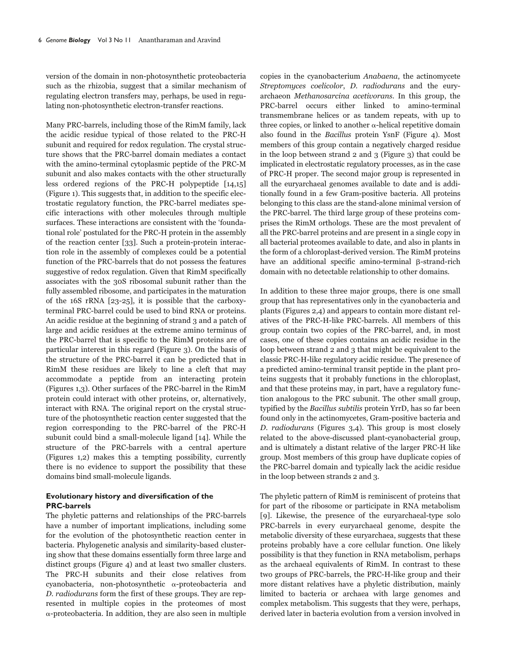version of the domain in non-photosynthetic proteobacteria such as the rhizobia, suggest that a similar mechanism of regulating electron transfers may, perhaps, be used in regulating non-photosynthetic electron-transfer reactions.

Many PRC-barrels, including those of the RimM family, lack the acidic residue typical of those related to the PRC-H subunit and required for redox regulation. The crystal structure shows that the PRC-barrel domain mediates a contact with the amino-terminal cytoplasmic peptide of the PRC-M subunit and also makes contacts with the other structurally less ordered regions of the PRC-H polypeptide [14,15] (Figure 1). This suggests that, in addition to the specific electrostatic regulatory function, the PRC-barrel mediates specific interactions with other molecules through multiple surfaces. These interactions are consistent with the 'foundational role' postulated for the PRC-H protein in the assembly of the reaction center [33]. Such a protein-protein interaction role in the assembly of complexes could be a potential function of the PRC-barrels that do not possess the features suggestive of redox regulation. Given that RimM specifically associates with the 30S ribosomal subunit rather than the fully assembled ribosome, and participates in the maturation of the 16S rRNA [23-25], it is possible that the carboxyterminal PRC-barrel could be used to bind RNA or proteins. An acidic residue at the beginning of strand 3 and a patch of large and acidic residues at the extreme amino terminus of the PRC-barrel that is specific to the RimM proteins are of particular interest in this regard (Figure 3). On the basis of the structure of the PRC-barrel it can be predicted that in RimM these residues are likely to line a cleft that may accommodate a peptide from an interacting protein (Figures 1,3). Other surfaces of the PRC-barrel in the RimM protein could interact with other proteins, or, alternatively, interact with RNA. The original report on the crystal structure of the photosynthetic reaction center suggested that the region corresponding to the PRC-barrel of the PRC-H subunit could bind a small-molecule ligand [14]. While the structure of the PRC-barrels with a central aperture (Figures 1,2) makes this a tempting possibility, currently there is no evidence to support the possibility that these domains bind small-molecule ligands.

### **Evolutionary history and diversification of the PRC-barrels**

The phyletic patterns and relationships of the PRC-barrels have a number of important implications, including some for the evolution of the photosynthetic reaction center in bacteria. Phylogenetic analysis and similarity-based clustering show that these domains essentially form three large and distinct groups (Figure 4) and at least two smaller clusters. The PRC-H subunits and their close relatives from cyanobacteria, non-photosynthetic a-proteobacteria and D. radiodurans form the first of these groups. They are represented in multiple copies in the proteomes of most --proteobacteria. In addition, they are also seen in multiple

copies in the cyanobacterium Anabaena, the actinomycete Streptomyces coelicolor, D. radiodurans and the euryarchaeon Methanosarcina acetivorans. In this group, the PRC-barrel occurs either linked to amino-terminal transmembrane helices or as tandem repeats, with up to three copies, or linked to another  $\alpha$ -helical repetitive domain also found in the Bacillus protein YsnF (Figure 4). Most members of this group contain a negatively charged residue in the loop between strand 2 and 3 (Figure 3) that could be implicated in electrostatic regulatory processes, as in the case of PRC-H proper. The second major group is represented in all the euryarchaeal genomes available to date and is additionally found in a few Gram-positive bacteria. All proteins belonging to this class are the stand-alone minimal version of the PRC-barrel. The third large group of these proteins comprises the RimM orthologs. These are the most prevalent of all the PRC-barrel proteins and are present in a single copy in all bacterial proteomes available to date, and also in plants in the form of a chloroplast-derived version. The RimM proteins have an additional specific amino-terminal  $\beta$ -strand-rich domain with no detectable relationship to other domains.

In addition to these three major groups, there is one small group that has representatives only in the cyanobacteria and plants (Figures 2,4) and appears to contain more distant relatives of the PRC-H-like PRC-barrels. All members of this group contain two copies of the PRC-barrel, and, in most cases, one of these copies contains an acidic residue in the loop between strand 2 and 3 that might be equivalent to the classic PRC-H-like regulatory acidic residue. The presence of a predicted amino-terminal transit peptide in the plant proteins suggests that it probably functions in the chloroplast, and that these proteins may, in part, have a regulatory function analogous to the PRC subunit. The other small group, typified by the Bacillus subtilis protein YrrD, has so far been found only in the actinomycetes, Gram-positive bacteria and D. radiodurans (Figures 3,4). This group is most closely related to the above-discussed plant-cyanobacterial group, and is ultimately a distant relative of the larger PRC-H like group. Most members of this group have duplicate copies of the PRC-barrel domain and typically lack the acidic residue in the loop between strands 2 and 3.

The phyletic pattern of RimM is reminiscent of proteins that for part of the ribosome or participate in RNA metabolism [9]. Likewise, the presence of the euryarchaeal-type solo PRC-barrels in every euryarchaeal genome, despite the metabolic diversity of these euryarchaea, suggests that these proteins probably have a core cellular function. One likely possibility is that they function in RNA metabolism, perhaps as the archaeal equivalents of RimM. In contrast to these two groups of PRC-barrels, the PRC-H-like group and their more distant relatives have a phyletic distribution, mainly limited to bacteria or archaea with large genomes and complex metabolism. This suggests that they were, perhaps, derived later in bacteria evolution from a version involved in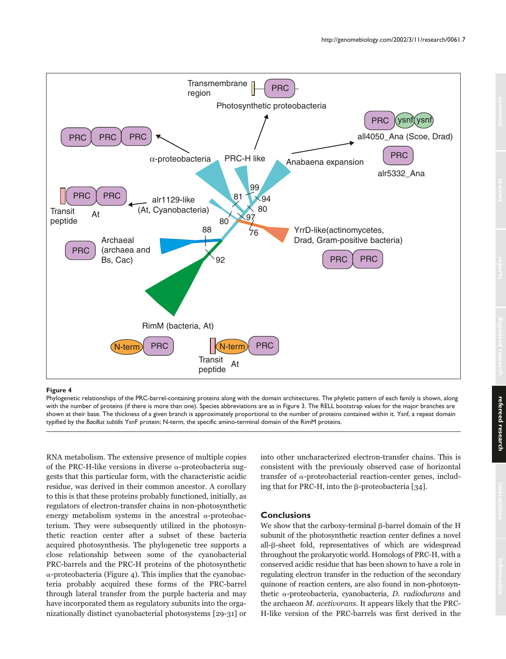

#### **Figure 4**

Phylogenetic relationships of the PRC-barrel-containing proteins along with the domain architectures. The phyletic pattern of each family is shown, along with the number of proteins (if there is more than one). Species abbreviations are as in Figure 3. The RELL bootstrap values for the major branches are shown at their base. The thickness of a given branch is approximately proportional to the number of proteins contained within it. Ysnf, a repeat domain typified by the *Bacillus subtilis* YsnF protein; N-term, the specific amino-terminal domain of the RimM proteins.

RNA metabolism. The extensive presence of multiple copies of the PRC-H-like versions in diverse  $\alpha$ -proteobacteria suggests that this particular form, with the characteristic acidic residue, was derived in their common ancestor. A corollary to this is that these proteins probably functioned, initially, as regulators of electron-transfer chains in non-photosynthetic energy metabolism systems in the ancestral  $\alpha$ -proteobacterium. They were subsequently utilized in the photosynthetic reaction center after a subset of these bacteria acquired photosynthesis. The phylogenetic tree supports a close relationship between some of the cyanobacterial PRC-barrels and the PRC-H proteins of the photosynthetic --proteobacteria (Figure 4). This implies that the cyanobacteria probably acquired these forms of the PRC-barrel through lateral transfer from the purple bacteria and may have incorporated them as regulatory subunits into the organizationally distinct cyanobacterial photosystems [29-31] or into other uncharacterized electron-transfer chains. This is consistent with the previously observed case of horizontal transfer of α-proteobacterial reaction-center genes, including that for PRC-H, into the  $\beta$ -proteobacteria [34].

### **Conclusions**

We show that the carboxy-terminal  $\beta$ -barrel domain of the H subunit of the photosynthetic reaction center defines a novel all- $\beta$ -sheet fold, representatives of which are widespread throughout the prokaryotic world. Homologs of PRC-H, with a conserved acidic residue that has been shown to have a role in regulating electron transfer in the reduction of the secondary quinone of reaction centers, are also found in non-photosynthetic α-proteobacteria, cyanobacteria, *D. radiodurans* and the archaeon M. acetivorans. It appears likely that the PRC-H-like version of the PRC-barrels was first derived in the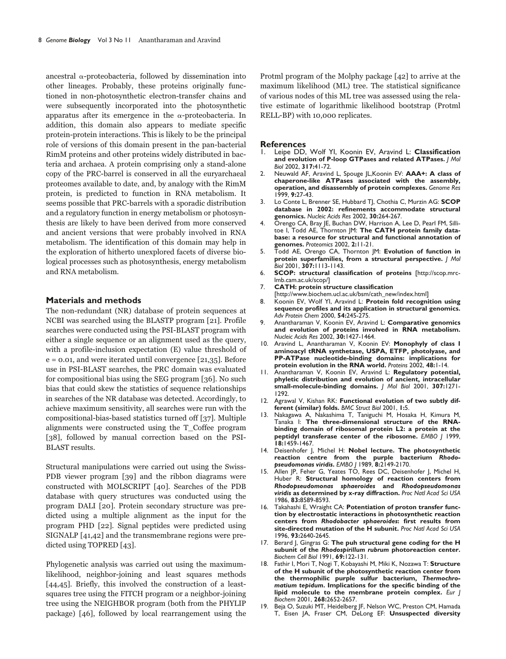ancestral  $\alpha$ -proteobacteria, followed by dissemination into other lineages. Probably, these proteins originally functioned in non-photosynthetic electron-transfer chains and were subsequently incorporated into the photosynthetic apparatus after its emergence in the  $\alpha$ -proteobacteria. In addition, this domain also appears to mediate specific protein-protein interactions. This is likely to be the principal role of versions of this domain present in the pan-bacterial RimM proteins and other proteins widely distributed in bacteria and archaea. A protein comprising only a stand-alone copy of the PRC-barrel is conserved in all the euryarchaeal proteomes available to date, and, by analogy with the RimM protein, is predicted to function in RNA metabolism. It seems possible that PRC-barrels with a sporadic distribution and a regulatory function in energy metabolism or photosynthesis are likely to have been derived from more conserved and ancient versions that were probably involved in RNA metabolism. The identification of this domain may help in the exploration of hitherto unexplored facets of diverse biological processes such as photosynthesis, energy metabolism and RNA metabolism.

#### **Materials and methods**

The non-redundant (NR) database of protein sequences at NCBI was searched using the BLASTP program [21]. Profile searches were conducted using the PSI-BLAST program with either a single sequence or an alignment used as the query, with a profile-inclusion expectation (E) value threshold of  $e = 0.01$ , and were iterated until convergence [21,35]. Before use in PSI-BLAST searches, the PRC domain was evaluated for compositional bias using the SEG program [36]. No such bias that could skew the statistics of sequence relationships in searches of the NR database was detected. Accordingly, to achieve maximum sensitivity, all searches were run with the compositional-bias-based statistics turned off [37]. Multiple alignments were constructed using the T\_Coffee program [38], followed by manual correction based on the PSI-BLAST results.

Structural manipulations were carried out using the Swiss-PDB viewer program [39] and the ribbon diagrams were constructed with MOLSCRIPT [40]. Searches of the PDB database with query structures was conducted using the program DALI [20]. Protein secondary structure was predicted using a multiple alignment as the input for the program PHD [22]. Signal peptides were predicted using SIGNALP [41,42] and the transmembrane regions were predicted using TOPRED [43].

Phylogenetic analysis was carried out using the maximumlikelihood, neighbor-joining and least squares methods [44,45]. Briefly, this involved the construction of a leastsquares tree using the FITCH program or a neighbor-joining tree using the NEIGHBOR program (both from the PHYLIP package) [46], followed by local rearrangement using the Protml program of the Molphy package [42] to arrive at the maximum likelihood (ML) tree. The statistical significance of various nodes of this ML tree was assessed using the relative estimate of logarithmic likelihood bootstrap (Protml RELL-BP) with 10,000 replicates.

## **References**

- 1. Leipe DD, Wolf YI, Koonin EV, Aravind L: **Classification and evolution of P-loop GTPases and related ATPases.** *J Mol Biol* 2002, **317:**41-72.
- 2. Neuwald AF, Aravind L, Spouge JL,Koonin EV: **AAA+: A class of chaperone-like ATPases associated with the assembly, operation, and disassembly of protein complexes.** *Genome Res* 1999, **9:**27-43.
- 3. Lo Conte L, Brenner SE, Hubbard TJ, Chothia C, Murzin AG: **SCOP database in 2002: refinements accommodate structural genomics.** *Nucleic Acids Res* 2002, **30:**264-267.
- Orengo CA, Bray JE, Buchan DW, Harrison A, Lee D, Pearl FM, Sillitoe I, Todd AE, Thornton JM: **The CATH protein family database: a resource for structural and functional annotation of genomes.** *Proteomics* 2002, **2:**11-21.
- 5. Todd AE, Orengo CA, Thornton JM: **Evolution of function in protein superfamilies, from a structural perspective.** *J Mol Biol* 2001, **307:**1113-1143.
- 6. **SCOP: structural classification of proteins** [http://scop.mrclmb.cam.ac.uk/scop/]
- 7. **CATH: protein structure classification**
- [http://www.biochem.ucl.ac.uk/bsm/cath\_new/index.html]
- 8. Koonin EV, Wolf YI, Aravind L: **Protein fold recognition using sequence profiles and its application in structural genomics.** *Adv Protein Chem* 2000, **54:**245-275.
- 9. Anantharaman V, Koonin EV, Aravind L: **Comparative genomics and evolution of proteins involved in RNA metabolism.** *Nucleic Acids Res* 2002, **30:**1427-1464.
- 10. Aravind L, Anantharaman V, Koonin EV: **Monophyly of class I aminoacyl tRNA synthetase, USPA, ETFP, photolyase, and PP-ATPase nucleotide-binding domains: implications for protein evolution in the RNA world.** *Proteins* 2002, **48:**1-14.
- 11. Anantharaman V, Koonin EV, Aravind L: **Regulatory potential, phyletic distribution and evolution of ancient, intracellular small-molecule-binding domains.** *J Mol Biol* 2001, **307:**1271- 1292.
- 12. Agrawal V, Kishan RK: **Functional evolution of two subtly different (similar) folds.** *BMC Struct Biol* 2001, **1:**5.
- 13. Nakagawa A, Nakashima T, Taniguchi M, Hosaka H, Kimura M, Tanaka I: **The three-dimensional structure of the RNAbinding domain of ribosomal protein L2: a protein at the peptidyl transferase center of the ribosome.** *EMBO J* 1999, **18:**1459-1467.
- 14. Deisenhofer J, Michel H: **Nobel lecture. The photosynthetic reaction centre from the purple bacterium** *Rhodopseudomonas viridis***.** *EMBO J* 1989, **8:**2149-2170.
- 15. Allen JP, Feher G, Yeates TO, Rees DC, Deisenhofer J, Michel H, Huber R: **Structural homology of reaction centers from** *Rhodopseudomonas sphaeroides* **and** *Rhodopseudomonas viridis* **as determined by x-ray diffraction.** *Proc Natl Acad Sci USA* 1986, **83:**8589-8593.
- 16. Takahashi E, Wraight CA: **Potentiation of proton transfer function by electrostatic interactions in photosynthetic reaction centers from** *Rhodobacter sphaeroides***: first results from site-directed mutation of the H subunit.** *Proc Natl Acad Sci USA* 1996, **93:**2640-2645.
- 17. Berard J, Gingras G: **The puh structural gene coding for the H subunit of the** *Rhodospirillum rubrum* **photoreaction center.** *Biochem Cell Biol* 1991, **69:**122-131.
- 18. Fathir I, Mori T, Nogi T, Kobayashi M, Miki K, Nozawa T: **Structure of the H subunit of the photosynthetic reaction center from the thermophilic purple sulfur bacterium,** *Thermochromatium tepidum***. Implications for the specific binding of the lipid molecule to the membrane protein complex.** *Eur J Biochem* 2001, **268:**2652-2657.
- 19. Beja O, Suzuki MT, Heidelberg JF, Nelson WC, Preston CM, Hamada T, Eisen JA, Fraser CM, DeLong EF: **Unsuspected diversity**